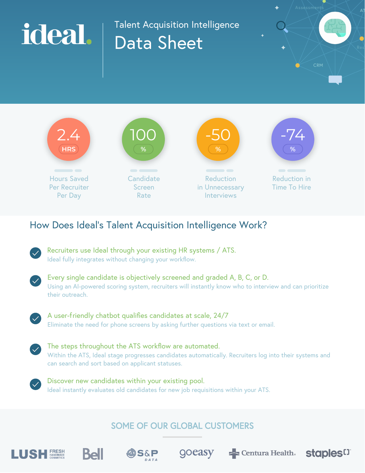# Talent Acquisition Intelligence ideal. Data Sheet

-50

**Reduction** in Unnecessary Interviews

-74 **%**

Reduction in Time To Hire



100

Candidate Screen Rate

| Recruiters use Ideal through your existing HR systems / ATS. |  |
|--------------------------------------------------------------|--|
| Ideal fully integrates without changing your workflow.       |  |

```
Every single candidate is objectively screened and graded A, B, C, or D.
Using an AI-powered scoring system, recruiters will instantly know who to interview and can prioritize 
their outreach.
```


2.4 **HRS**

Hours Saved Per Recruiter Per Day

A user-friendly chatbot qualifies candidates at scale, 24/7 Eliminate the need for phone screens by asking further questions via text or email.



Discover new candidates within your existing pool. Ideal instantly evaluates old candidates for new job requisitions within your ATS.

## SOME OF OUR GLOBAL CUSTOMERS